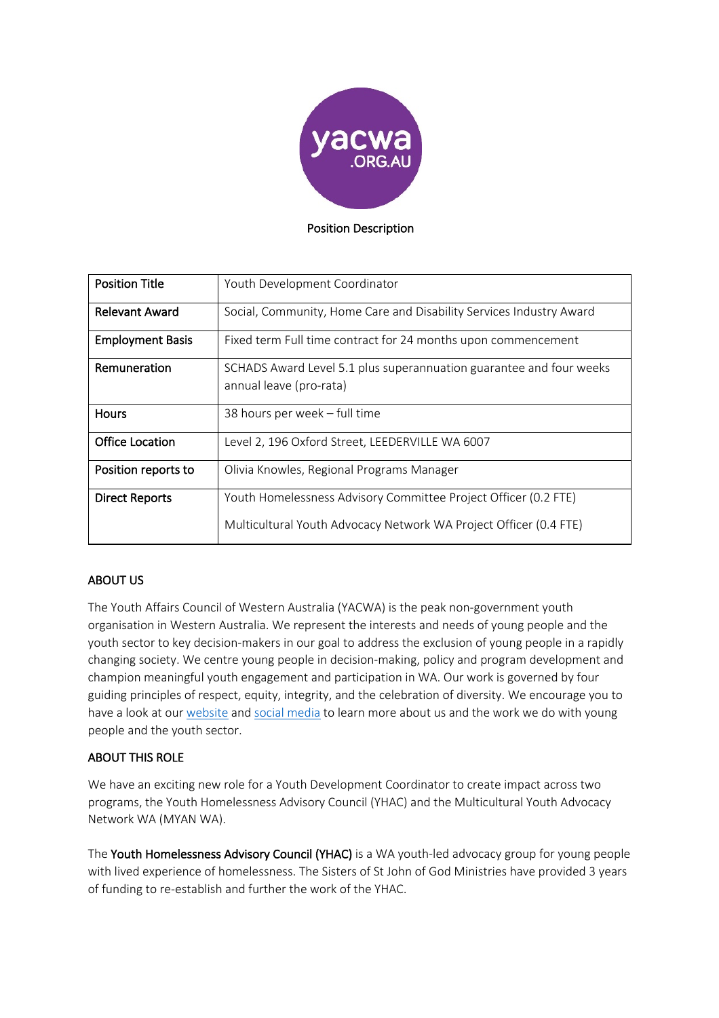

#### Position Description

| <b>Position Title</b>   | Youth Development Coordinator                                                                  |
|-------------------------|------------------------------------------------------------------------------------------------|
| <b>Relevant Award</b>   | Social, Community, Home Care and Disability Services Industry Award                            |
| <b>Employment Basis</b> | Fixed term Full time contract for 24 months upon commencement                                  |
| Remuneration            | SCHADS Award Level 5.1 plus superannuation guarantee and four weeks<br>annual leave (pro-rata) |
| <b>Hours</b>            | 38 hours per week - full time                                                                  |
| <b>Office Location</b>  | Level 2, 196 Oxford Street, LEEDERVILLE WA 6007                                                |
| Position reports to     | Olivia Knowles, Regional Programs Manager                                                      |
| <b>Direct Reports</b>   | Youth Homelessness Advisory Committee Project Officer (0.2 FTE)                                |
|                         | Multicultural Youth Advocacy Network WA Project Officer (0.4 FTE)                              |

## ABOUT US

The Youth Affairs Council of Western Australia (YACWA) is the peak non-government youth organisation in Western Australia. We represent the interests and needs of young people and the youth sector to key decision-makers in our goal to address the exclusion of young people in a rapidly changing society. We centre young people in decision-making, policy and program development and champion meaningful youth engagement and participation in WA. Our work is governed by four guiding principles of respect, equity, integrity, and the celebration of diversity. We encourage you to have a look at our website and social media to learn more about us and the work we do with young people and the youth sector.

## ABOUT THIS ROLE

We have an exciting new role for a Youth Development Coordinator to create impact across two programs, the Youth Homelessness Advisory Council (YHAC) and the Multicultural Youth Advocacy Network WA (MYAN WA).

The Youth Homelessness Advisory Council (YHAC) is a WA youth-led advocacy group for young people with lived experience of homelessness. The Sisters of St John of God Ministries have provided 3 years of funding to re-establish and further the work of the YHAC.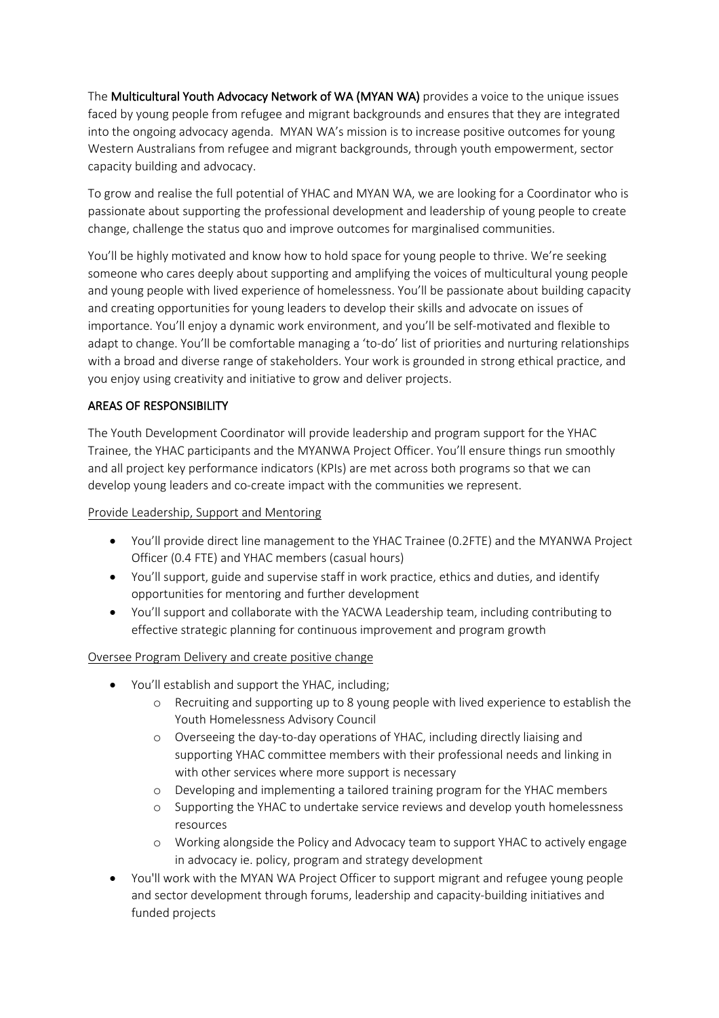The Multicultural Youth Advocacy Network of WA (MYAN WA) provides a voice to the unique issues faced by young people from refugee and migrant backgrounds and ensures that they are integrated into the ongoing advocacy agenda. MYAN WA's mission is to increase positive outcomes for young Western Australians from refugee and migrant backgrounds, through youth empowerment, sector capacity building and advocacy.

To grow and realise the full potential of YHAC and MYAN WA, we are looking for a Coordinator who is passionate about supporting the professional development and leadership of young people to create change, challenge the status quo and improve outcomes for marginalised communities.

You'll be highly motivated and know how to hold space for young people to thrive. We're seeking someone who cares deeply about supporting and amplifying the voices of multicultural young people and young people with lived experience of homelessness. You'll be passionate about building capacity and creating opportunities for young leaders to develop their skills and advocate on issues of importance. You'll enjoy a dynamic work environment, and you'll be self-motivated and flexible to adapt to change. You'll be comfortable managing a 'to-do' list of priorities and nurturing relationships with a broad and diverse range of stakeholders. Your work is grounded in strong ethical practice, and you enjoy using creativity and initiative to grow and deliver projects.

# AREAS OF RESPONSIBILITY

The Youth Development Coordinator will provide leadership and program support for the YHAC Trainee, the YHAC participants and the MYANWA Project Officer. You'll ensure things run smoothly and all project key performance indicators (KPIs) are met across both programs so that we can develop young leaders and co-create impact with the communities we represent.

## Provide Leadership, Support and Mentoring

- You'll provide direct line management to the YHAC Trainee (0.2FTE) and the MYANWA Project Officer (0.4 FTE) and YHAC members (casual hours)
- You'll support, guide and supervise staff in work practice, ethics and duties, and identify opportunities for mentoring and further development
- You'll support and collaborate with the YACWA Leadership team, including contributing to effective strategic planning for continuous improvement and program growth

## Oversee Program Delivery and create positive change

- You'll establish and support the YHAC, including;
	- o Recruiting and supporting up to 8 young people with lived experience to establish the Youth Homelessness Advisory Council
	- o Overseeing the day-to-day operations of YHAC, including directly liaising and supporting YHAC committee members with their professional needs and linking in with other services where more support is necessary
	- o Developing and implementing a tailored training program for the YHAC members
	- o Supporting the YHAC to undertake service reviews and develop youth homelessness resources
	- o Working alongside the Policy and Advocacy team to support YHAC to actively engage in advocacy ie. policy, program and strategy development
- You'll work with the MYAN WA Project Officer to support migrant and refugee young people and sector development through forums, leadership and capacity-building initiatives and funded projects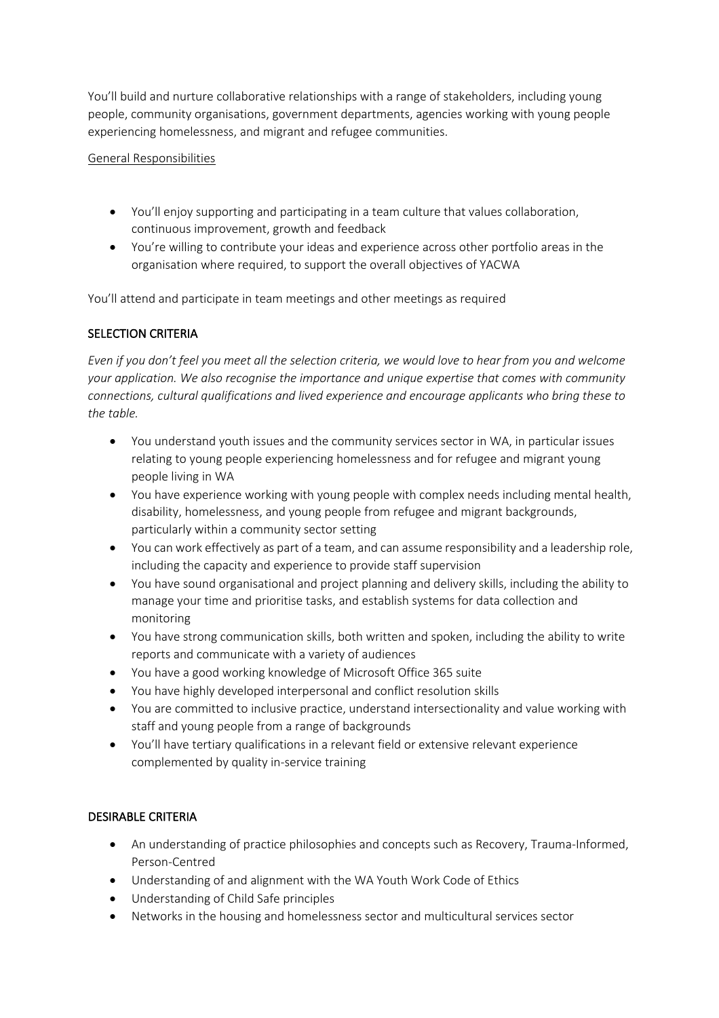You'll build and nurture collaborative relationships with a range of stakeholders, including young people, community organisations, government departments, agencies working with young people experiencing homelessness, and migrant and refugee communities.

## General Responsibilities

- You'll enjoy supporting and participating in a team culture that values collaboration, continuous improvement, growth and feedback
- You're willing to contribute your ideas and experience across other portfolio areas in the organisation where required, to support the overall objectives of YACWA

You'll attend and participate in team meetings and other meetings as required

# SELECTION CRITERIA

*Even if you don't feel you meet all the selection criteria, we would love to hear from you and welcome your application. We also recognise the importance and unique expertise that comes with community connections, cultural qualifications and lived experience and encourage applicants who bring these to the table.*

- You understand youth issues and the community services sector in WA, in particular issues relating to young people experiencing homelessness and for refugee and migrant young people living in WA
- You have experience working with young people with complex needs including mental health, disability, homelessness, and young people from refugee and migrant backgrounds, particularly within a community sector setting
- You can work effectively as part of a team, and can assume responsibility and a leadership role, including the capacity and experience to provide staff supervision
- You have sound organisational and project planning and delivery skills, including the ability to manage your time and prioritise tasks, and establish systems for data collection and monitoring
- You have strong communication skills, both written and spoken, including the ability to write reports and communicate with a variety of audiences
- You have a good working knowledge of Microsoft Office 365 suite
- You have highly developed interpersonal and conflict resolution skills
- You are committed to inclusive practice, understand intersectionality and value working with staff and young people from a range of backgrounds
- You'll have tertiary qualifications in a relevant field or extensive relevant experience complemented by quality in-service training

## DESIRABLE CRITERIA

- An understanding of practice philosophies and concepts such as Recovery, Trauma-Informed, Person-Centred
- Understanding of and alignment with the WA Youth Work Code of Ethics
- Understanding of Child Safe principles
- Networks in the housing and homelessness sector and multicultural services sector